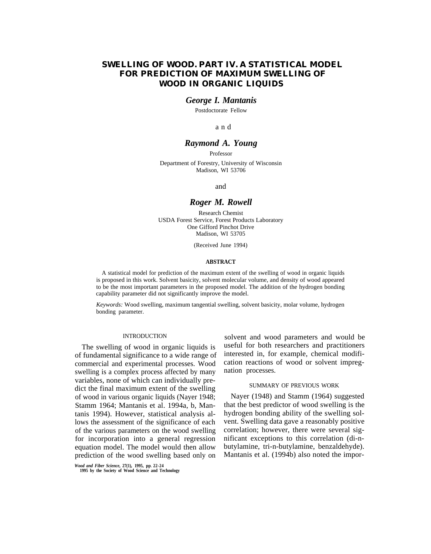# **SWELLING OF WOOD. PART IV. A STATISTICAL MODEL FOR PREDICTION OF MAXIMUM SWELLING OF WOOD IN ORGANIC LIQUIDS**

## *George I. Mantanis*

Postdoctorate Fellow

a n d

## *Raymond A. Young*

Professor

Department of Forestry, University of Wisconsin Madison, WI 53706

and

## *Roger M. Rowell*

Research Chemist USDA Forest Service, Forest Products Laboratory One Gifford Pinchot Drive Madison, WI 53705

(Received June 1994)

### **ABSTRACT**

A statistical model for prediction of the maximum extent of the swelling of wood in organic liquids is proposed in this work. Solvent basicity, solvent molecular volume, and density of wood appeared to be the most important parameters in the proposed model. The addition of the hydrogen bonding capability parameter did not significantly improve the model.

*Keywords:* Wood swelling, maximum tangential swelling, solvent basicity, molar volume, hydrogen bonding parameter.

## INTRODUCTION

The swelling of wood in organic liquids is of fundamental significance to a wide range of commercial and experimental processes. Wood swelling is a complex process affected by many variables, none of which can individually predict the final maximum extent of the swelling of wood in various organic liquids (Nayer 1948; Stamm 1964; Mantanis et al. 1994a, b, Mantanis 1994). However, statistical analysis allows the assessment of the significance of each of the various parameters on the wood swelling for incorporation into a general regression equation model. The model would then allow prediction of the wood swelling based only on

solvent and wood parameters and would be useful for both researchers and practitioners interested in, for example, chemical modification reactions of wood or solvent impregnation processes.

## SUMMARY OF PREVIOUS WORK

Nayer (1948) and Stamm (1964) suggested that the best predictor of wood swelling is the hydrogen bonding ability of the swelling solvent. Swelling data gave a reasonably positive correlation; however, there were several significant exceptions to this correlation (di-nbutylamine, tri-n-butylamine, benzaldehyde). Mantanis et al. (1994b) also noted the impor-

*Wood and Fiber Science,* **27(1), 1995, pp**. **22-24 1995 by the Society of Wood Science and Technology**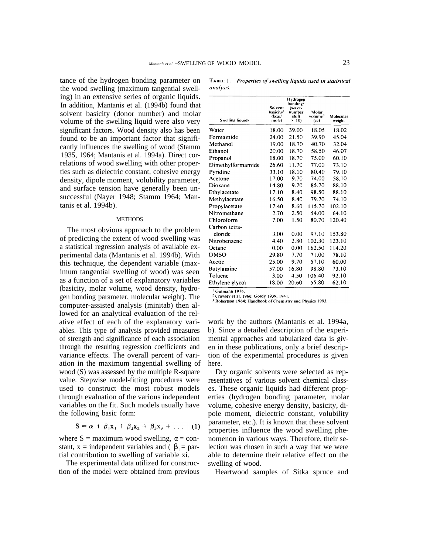tance of the hydrogen bonding parameter on the wood swelling (maximum tangential swelling) in an extensive series of organic liquids. In addition, Mantanis et al. (1994b) found that solvent basicity (donor number) and molar volume of the swelling liquid were also very significant factors. Wood density also has been found to be an important factor that significantly influences the swelling of wood (Stamm 1935, 1964; Mantanis et al. 1994a). Direct correlations of wood swelling with other properties such as dielectric constant, cohesive energy density, dipole moment, volubility parameter, and surface tension have generally been unsuccessful (Nayer 1948; Stamm 1964; Mantanis et al. 1994b).

#### **METHODS**

The most obvious approach to the problem of predicting the extent of wood swelling was a statistical regression analysis of available experimental data (Mantanis et al. 1994b). With this technique, the dependent variable (maximum tangential swelling of wood) was seen as a function of a set of explanatory variables (basicity, molar volume, wood density, hydrogen bonding parameter, molecular weight). The computer-assisted analysis (minitab) then allowed for an analytical evaluation of the relative effect of each of the explanatory variables. This type of analysis provided measures of strength and significance of each association through the resulting regression coefficients and variance effects. The overall percent of variation in the maximum tangential swelling of wood (S) was assessed by the multiple R-square value. Stepwise model-fitting procedures were used to construct the most robust models through evaluation of the various independent variables on the fit. Such models usually have the following basic form:

$$
S = \alpha + \beta_1 x_1 + \beta_2 x_2 + \beta_3 x_3 + \dots \quad (1)
$$

where  $S =$  maximum wood swelling,  $a =$  constant,  $x =$  independent variables and ( $b =$  partial contribution to swelling of variable xi.

The experimental data utilized for construction of the model were obtained from previous

|           | <b>FABLE 1.</b> Properties of swelling liquids used in statistical |  |  |  |
|-----------|--------------------------------------------------------------------|--|--|--|
| inalysis. |                                                                    |  |  |  |

| <b>Swelling liquids</b> | Solvent<br>basicity <sup>1</sup><br>(kcal/<br>mole) | Hydrogen<br>honding-<br>(wave-<br>number<br>shift<br>$\times$ 10) | Moiar<br>volume <sup>3</sup><br>(cc) | Molecular<br>weight |
|-------------------------|-----------------------------------------------------|-------------------------------------------------------------------|--------------------------------------|---------------------|
| Water                   | 18.00                                               | 39.00                                                             | 18.05                                | 18.02               |
| Formamide               | 24.00                                               | 21.50                                                             | 39.90                                | 45.04               |
| Methanol                | 19.00                                               | 18.70                                                             | 40.70                                | 32.04               |
| Ethanol                 | 20.00                                               | 18.70                                                             | 58.50                                | 46.07               |
| Propanol                | 18.00                                               | 18.70                                                             | 75.00                                | 60.10               |
| Dimethylformamide       | 26.60                                               | 11.70                                                             | 77.00                                | 73.10               |
| Pyridine                | 33.10                                               | 18.10                                                             | 80.40                                | 79.10               |
| Acetone                 | 17.00                                               | 9.70                                                              | 74.00                                | 58.10               |
| Dioxane                 | 14.80                                               | 9.70                                                              | 85.70                                | 88.10               |
| Ethylacetate            | 17.10                                               | 8.40                                                              | 98.50                                | 88.10               |
| Methylacetate           | 16.50                                               | 8.40                                                              | 79.70                                | 74.10               |
| Propylacetate           | 17.40                                               | 8.60                                                              | 115.70                               | 102.10              |
| Nitromethane            | 2.70                                                | 2.50                                                              | 54.00                                | 64.10               |
| Chloroform              | 7.00                                                | 1.50                                                              | 80.70                                | 120.40              |
| Carbon tetra-           |                                                     |                                                                   |                                      |                     |
| cloride                 | 3.00                                                | 0.00                                                              | 97.10                                | 153.80              |
| Nitrobenzene            | 4.40                                                | 2.80                                                              | 102.30                               | 123.10              |
| Octane                  | 0.00                                                | 0.00                                                              | 162.50                               | 114.20              |
| <b>DMSO</b>             | 29.80                                               | 7.70                                                              | 71.00                                | 78.10               |
| Acetic                  | 25.00                                               | 9.70                                                              | 57.10                                | 60.00               |
| Butylamine              | 57.00                                               | 16.80                                                             | 98.80                                | 73.10               |
| Toluene                 | 3.00                                                | 4.50                                                              | 106.40                               | 92.10               |
| Ethylene glycol         | 18.00                                               | 20.60                                                             | 55.80                                | 62.10               |

<sup>1</sup> Gutmann 1976. <sup>2</sup> Crowley et al. 1966; Gordy 1939, 1941.

<sup>3</sup> Robertson 1964; Handbook of Chemistry and Physics 1993.

work by the authors (Mantanis et al. 1994a, b). Since a detailed description of the experimental approaches and tabularized data is given in these publications, only a brief description of the experimental procedures is given here.

Dry organic solvents were selected as representatives of various solvent chemical classes. These organic liquids had different properties (hydrogen bonding parameter, molar volume, cohesive energy density, basicity, dipole moment, dielectric constant, volubility parameter, etc.). It is known that these solvent properties influence the wood swelling phenomenon in various ways. Therefore, their selection was chosen in such a way that we were able to determine their relative effect on the swelling of wood.

Heartwood samples of Sitka spruce and